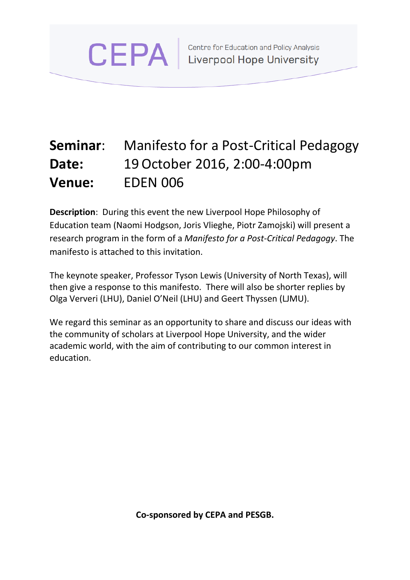

Centre for Education and Policy Analysis Liverpool Hope University

## **Seminar**: Manifesto for a Post-Critical Pedagogy **Date:** 19October 2016, 2:00-4:00pm **Venue:** EDEN 006

**Description**: During this event the new Liverpool Hope Philosophy of Education team (Naomi Hodgson, Joris Vlieghe, Piotr Zamojski) will present a research program in the form of a *Manifesto for a Post-Critical Pedagogy*. The manifesto is attached to this invitation.

The keynote speaker, Professor Tyson Lewis (University of North Texas), will then give a response to this manifesto. There will also be shorter replies by Olga Ververi (LHU), Daniel O'Neil (LHU) and Geert Thyssen (LJMU).

We regard this seminar as an opportunity to share and discuss our ideas with the community of scholars at Liverpool Hope University, and the wider academic world, with the aim of contributing to our common interest in education.

**Co-sponsored by CEPA and PESGB.**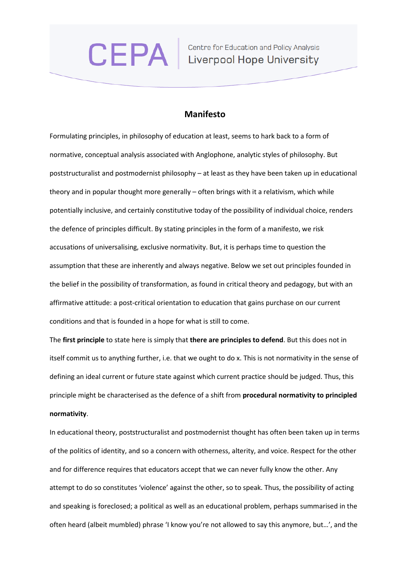

## **Manifesto**

Formulating principles, in philosophy of education at least, seems to hark back to a form of normative, conceptual analysis associated with Anglophone, analytic styles of philosophy. But poststructuralist and postmodernist philosophy – at least as they have been taken up in educational theory and in popular thought more generally – often brings with it a relativism, which while potentially inclusive, and certainly constitutive today of the possibility of individual choice, renders the defence of principles difficult. By stating principles in the form of a manifesto, we risk accusations of universalising, exclusive normativity. But, it is perhaps time to question the assumption that these are inherently and always negative. Below we set out principles founded in the belief in the possibility of transformation, as found in critical theory and pedagogy, but with an affirmative attitude: a post-critical orientation to education that gains purchase on our current conditions and that is founded in a hope for what is still to come.

The **first principle** to state here is simply that **there are principles to defend**. But this does not in itself commit us to anything further, i.e. that we ought to do x. This is not normativity in the sense of defining an ideal current or future state against which current practice should be judged. Thus, this principle might be characterised as the defence of a shift from **procedural normativity to principled normativity**.

In educational theory, poststructuralist and postmodernist thought has often been taken up in terms of the politics of identity, and so a concern with otherness, alterity, and voice. Respect for the other and for difference requires that educators accept that we can never fully know the other. Any attempt to do so constitutes 'violence' against the other, so to speak. Thus, the possibility of acting and speaking is foreclosed; a political as well as an educational problem, perhaps summarised in the often heard (albeit mumbled) phrase 'I know you're not allowed to say this anymore, but…', and the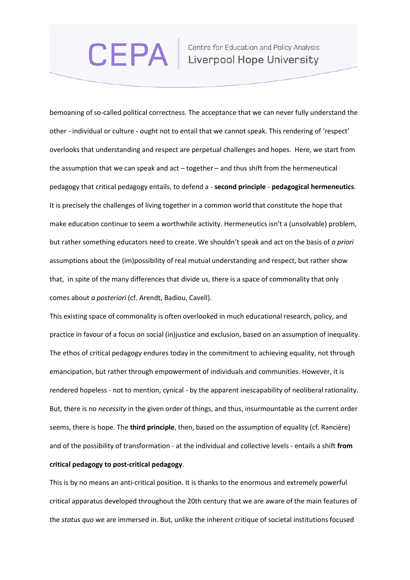

**CEPA** Centre for Education and Policy Analysis<br>Liverpool Hope University

bemoaning of so-called political correctness. The acceptance that we can never fully understand the other - individual or culture - ought not to entail that we cannot speak. This rendering of 'respect' overlooks that understanding and respect are perpetual challenges and hopes. Here, we start from the assumption that we can speak and act – together – and thus shift from the hermeneutical pedagogy that critical pedagogy entails, to defend a - **second principle** - **pedagogical hermeneutics**. It is precisely the challenges of living together in a common world that constitute the hope that make education continue to seem a worthwhile activity. Hermeneutics isn't a (unsolvable) problem, but rather something educators need to create. We shouldn't speak and act on the basis of *a priori* assumptions about the (im)possibility of real mutual understanding and respect, but rather show that, in spite of the many differences that divide us, there is a space of commonality that only comes about *a posteriori* (cf. Arendt, Badiou, Cavell).

This existing space of commonality is often overlooked in much educational research, policy, and practice in favour of a focus on social (in)justice and exclusion, based on an assumption of inequality. The ethos of critical pedagogy endures today in the commitment to achieving equality, not through emancipation, but rather through empowerment of individuals and communities. However, it is rendered hopeless - not to mention, cynical - by the apparent inescapability of neoliberal rationality. But, there is no *necessity* in the given order of things, and thus, insurmountable as the current order seems, there is hope. The **third principle**, then, based on the assumption of equality (cf. Rancière) and of the possibility of transformation - at the individual and collective levels - entails a shift **from critical pedagogy to post-critical pedagogy**.

This is by no means an anti-critical position. It is thanks to the enormous and extremely powerful critical apparatus developed throughout the 20th century that we are aware of the main features of the *status quo* we are immersed in. But, unlike the inherent critique of societal institutions focused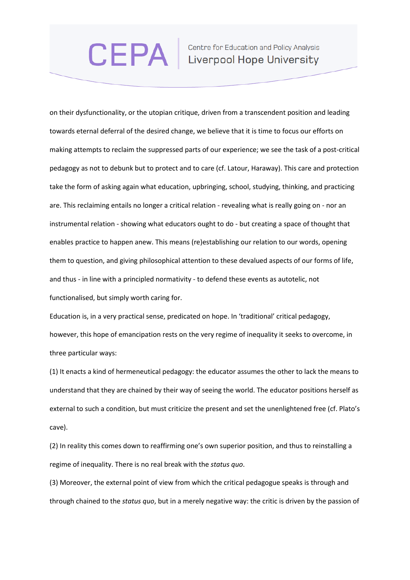**CEPA** Centre for Education and Policy Analysis<br>Liverpool Hope University

on their dysfunctionality, or the utopian critique, driven from a transcendent position and leading towards eternal deferral of the desired change, we believe that it is time to focus our efforts on making attempts to reclaim the suppressed parts of our experience; we see the task of a post-critical pedagogy as not to debunk but to protect and to care (cf. Latour, Haraway). This care and protection take the form of asking again what education, upbringing, school, studying, thinking, and practicing are. This reclaiming entails no longer a critical relation - revealing what is really going on - nor an instrumental relation - showing what educators ought to do - but creating a space of thought that enables practice to happen anew. This means (re)establishing our relation to our words, opening them to question, and giving philosophical attention to these devalued aspects of our forms of life, and thus - in line with a principled normativity - to defend these events as autotelic, not functionalised, but simply worth caring for.

Education is, in a very practical sense, predicated on hope. In 'traditional' critical pedagogy, however, this hope of emancipation rests on the very regime of inequality it seeks to overcome, in three particular ways:

(1) It enacts a kind of hermeneutical pedagogy: the educator assumes the other to lack the means to understand that they are chained by their way of seeing the world. The educator positions herself as external to such a condition, but must criticize the present and set the unenlightened free (cf. Plato's cave).

(2) In reality this comes down to reaffirming one's own superior position, and thus to reinstalling a regime of inequality. There is no real break with the *status quo*.

(3) Moreover, the external point of view from which the critical pedagogue speaks is through and through chained to the *status quo*, but in a merely negative way: the critic is driven by the passion of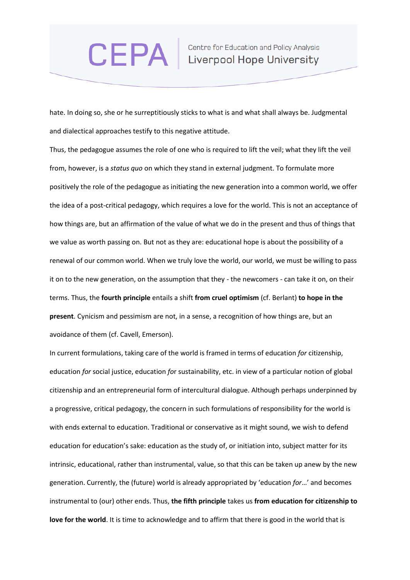

hate. In doing so, she or he surreptitiously sticks to what is and what shall always be. Judgmental and dialectical approaches testify to this negative attitude.

Thus, the pedagogue assumes the role of one who is required to lift the veil; what they lift the veil from, however, is a *status quo* on which they stand in external judgment. To formulate more positively the role of the pedagogue as initiating the new generation into a common world, we offer the idea of a post-critical pedagogy, which requires a love for the world. This is not an acceptance of how things are, but an affirmation of the value of what we do in the present and thus of things that we value as worth passing on. But not as they are: educational hope is about the possibility of a renewal of our common world. When we truly love the world, our world, we must be willing to pass it on to the new generation, on the assumption that they - the newcomers - can take it on, on their terms. Thus, the **fourth principle** entails a shift **from cruel optimism** (cf. Berlant) **to hope in the present**. Cynicism and pessimism are not, in a sense, a recognition of how things are, but an avoidance of them (cf. Cavell, Emerson).

In current formulations, taking care of the world is framed in terms of education *for* citizenship, education *for* social justice, education *fo*r sustainability, etc. in view of a particular notion of global citizenship and an entrepreneurial form of intercultural dialogue. Although perhaps underpinned by a progressive, critical pedagogy, the concern in such formulations of responsibility for the world is with ends external to education. Traditional or conservative as it might sound, we wish to defend education for education's sake: education as the study of, or initiation into, subject matter for its intrinsic, educational, rather than instrumental, value, so that this can be taken up anew by the new generation. Currently, the (future) world is already appropriated by 'education *for*…' and becomes instrumental to (our) other ends. Thus, **the fifth principle** takes us **from education for citizenship to love for the world**. It is time to acknowledge and to affirm that there is good in the world that is